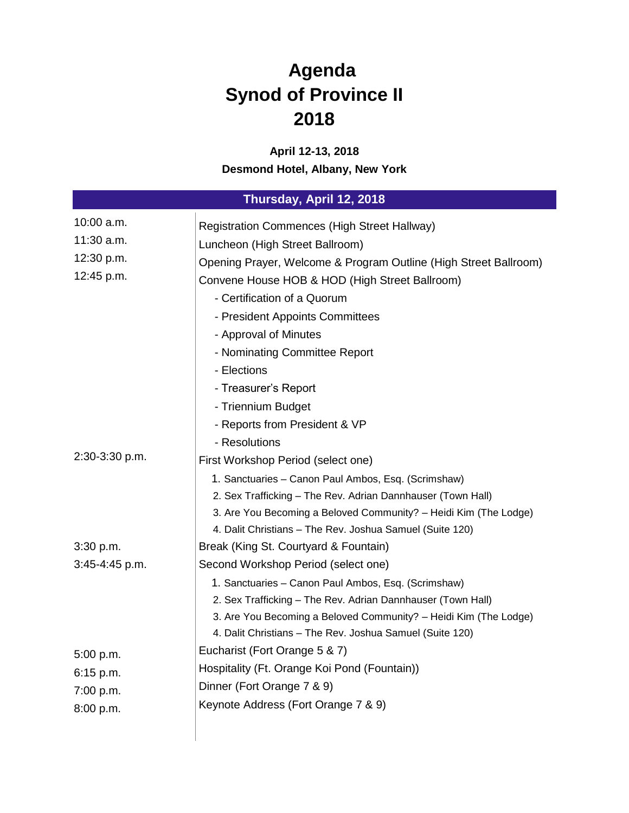## **Agenda Synod of Province II 2018**

## **April 12-13, 2018 Desmond Hotel, Albany, New York**

| Thursday, April 12, 2018 |                                                                  |
|--------------------------|------------------------------------------------------------------|
| 10:00 a.m.               | Registration Commences (High Street Hallway)                     |
| 11:30 a.m.               | Luncheon (High Street Ballroom)                                  |
| 12:30 p.m.               | Opening Prayer, Welcome & Program Outline (High Street Ballroom) |
| 12:45 p.m.               | Convene House HOB & HOD (High Street Ballroom)                   |
|                          | - Certification of a Quorum                                      |
|                          | - President Appoints Committees                                  |
|                          | - Approval of Minutes                                            |
|                          | - Nominating Committee Report                                    |
|                          | - Elections                                                      |
|                          | - Treasurer's Report                                             |
|                          | - Triennium Budget                                               |
|                          | - Reports from President & VP                                    |
|                          | - Resolutions                                                    |
| 2:30-3:30 p.m.           | First Workshop Period (select one)                               |
|                          | 1. Sanctuaries - Canon Paul Ambos, Esq. (Scrimshaw)              |
|                          | 2. Sex Trafficking - The Rev. Adrian Dannhauser (Town Hall)      |
|                          | 3. Are You Becoming a Beloved Community? - Heidi Kim (The Lodge) |
|                          | 4. Dalit Christians - The Rev. Joshua Samuel (Suite 120)         |
| 3:30 p.m.                | Break (King St. Courtyard & Fountain)                            |
| 3:45-4:45 p.m.           | Second Workshop Period (select one)                              |
|                          | 1. Sanctuaries - Canon Paul Ambos, Esq. (Scrimshaw)              |
|                          | 2. Sex Trafficking - The Rev. Adrian Dannhauser (Town Hall)      |
|                          | 3. Are You Becoming a Beloved Community? - Heidi Kim (The Lodge) |
|                          | 4. Dalit Christians - The Rev. Joshua Samuel (Suite 120)         |
| 5:00 p.m.                | Eucharist (Fort Orange 5 & 7)                                    |
| $6:15$ p.m.              | Hospitality (Ft. Orange Koi Pond (Fountain))                     |
| 7:00 p.m.                | Dinner (Fort Orange 7 & 9)                                       |
| 8:00 p.m.                | Keynote Address (Fort Orange 7 & 9)                              |
|                          |                                                                  |